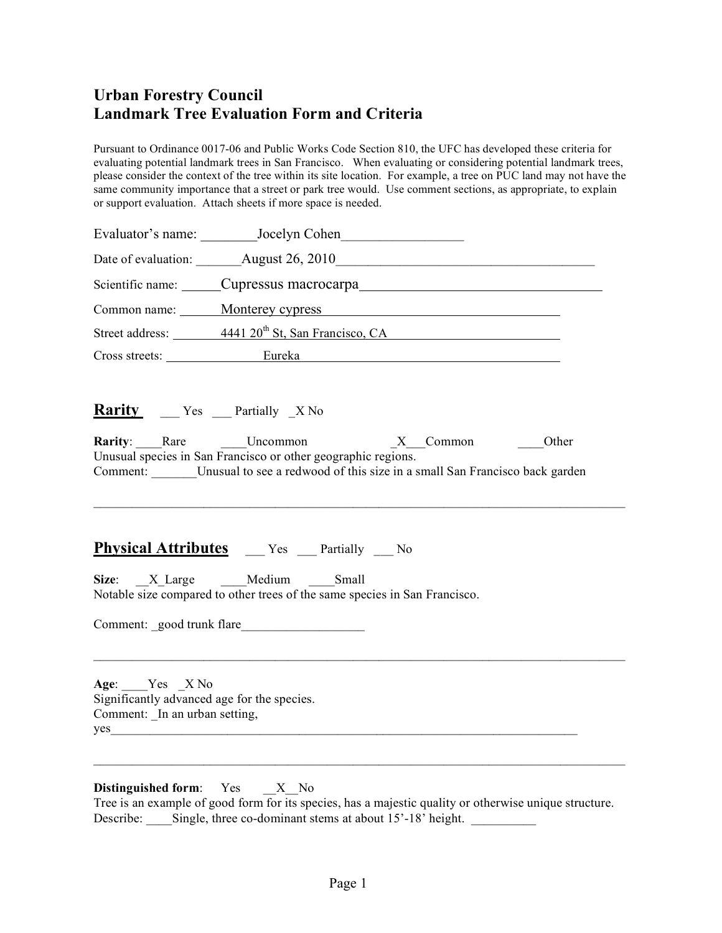## **Urban Forestry Council Landmark Tree Evaluation Form and Criteria**

Pursuant to Ordinance 0017-06 and Public Works Code Section 810, the UFC has developed these criteria for evaluating potential landmark trees in San Francisco. When evaluating or considering potential landmark trees, please consider the context of the tree within its site location. For example, a tree on PUC land may not have the same community importance that a street or park tree would. Use comment sections, as appropriate, to explain or support evaluation. Attach sheets if more space is needed.

|                                                                                               |                                                                                                                                                                  | Common name: Monterey cypress Monterey expenses                                                                             |  |
|-----------------------------------------------------------------------------------------------|------------------------------------------------------------------------------------------------------------------------------------------------------------------|-----------------------------------------------------------------------------------------------------------------------------|--|
|                                                                                               |                                                                                                                                                                  | Street address: 4441 20 <sup>th</sup> St, San Francisco, CA                                                                 |  |
|                                                                                               |                                                                                                                                                                  | Cross streets: Eureka                                                                                                       |  |
| Rarity _____ Yes ____ Partially _X No                                                         |                                                                                                                                                                  |                                                                                                                             |  |
|                                                                                               | Unusual species in San Francisco or other geographic regions.                                                                                                    | Rarity: Rare Uncommon X Common Other<br>Comment: Unusual to see a redwood of this size in a small San Francisco back garden |  |
|                                                                                               | <b>Physical Attributes</b> __ Yes __ Partially __ No<br>Size: X Large Medium Small<br>Notable size compared to other trees of the same species in San Francisco. |                                                                                                                             |  |
|                                                                                               | Comment: good trunk flare                                                                                                                                        |                                                                                                                             |  |
| Age: Yes X No<br>Significantly advanced age for the species.<br>Comment: In an urban setting, | yes                                                                                                                                                              |                                                                                                                             |  |
| Distinguished form: Yes X No                                                                  |                                                                                                                                                                  |                                                                                                                             |  |

Tree is an example of good form for its species, has a majestic quality or otherwise unique structure. Describe: \_\_\_\_Single, three co-dominant stems at about 15'-18' height. \_\_\_\_\_\_\_\_\_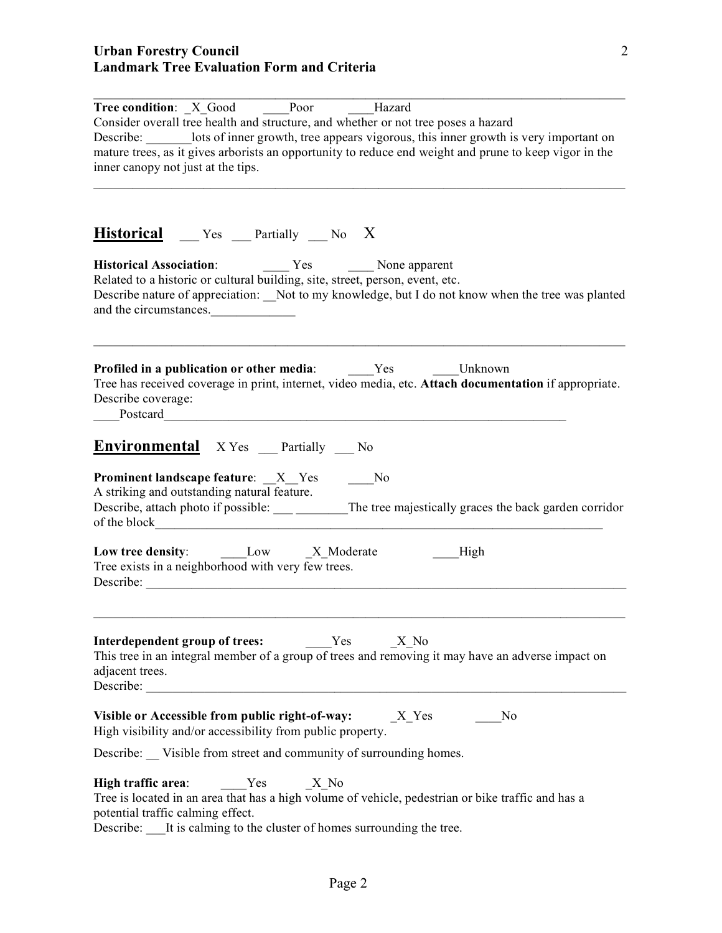| Tree condition: X Good Poor<br>Hazard                                                                                                                                                                                                                                                                                               |
|-------------------------------------------------------------------------------------------------------------------------------------------------------------------------------------------------------------------------------------------------------------------------------------------------------------------------------------|
| Consider overall tree health and structure, and whether or not tree poses a hazard<br>Describe: lots of inner growth, tree appears vigorous, this inner growth is very important on<br>mature trees, as it gives arborists an opportunity to reduce end weight and prune to keep vigor in the<br>inner canopy not just at the tips. |
| <b>Historical</b> __ Yes __ Partially __ No X                                                                                                                                                                                                                                                                                       |
| Historical Association: The Yes The None apparent<br>Related to a historic or cultural building, site, street, person, event, etc.<br>Describe nature of appreciation: Not to my knowledge, but I do not know when the tree was planted<br>and the circumstances.                                                                   |
| <b>Profiled in a publication or other media:</b> Yes Unknown<br>Tree has received coverage in print, internet, video media, etc. Attach documentation if appropriate.<br>Describe coverage:<br>Postcard Postcard                                                                                                                    |
| <b>Environmental</b> X Yes Partially No                                                                                                                                                                                                                                                                                             |
| <b>Prominent landscape feature:</b> _X_Yes ____No<br>A striking and outstanding natural feature.<br>Describe, attach photo if possible: ____ _______The tree majestically graces the back garden corridor<br>of the block                                                                                                           |
| Low tree density: Low X Moderate<br>High<br>Tree exists in a neighborhood with very few trees.<br>Describe:                                                                                                                                                                                                                         |
| <b>Interdependent group of trees:</b> Yes X No<br>This tree in an integral member of a group of trees and removing it may have an adverse impact on<br>adjacent trees.<br>Describe:                                                                                                                                                 |
| Visible or Accessible from public right-of-way: $X_Y$ es<br>No<br>High visibility and/or accessibility from public property.                                                                                                                                                                                                        |
| Describe: Visible from street and community of surrounding homes.                                                                                                                                                                                                                                                                   |
| Yes X No<br>High traffic area:<br>Tree is located in an area that has a high volume of vehicle, pedestrian or bike traffic and has a<br>potential traffic calming effect.<br>Describe: ____It is calming to the cluster of homes surrounding the tree.                                                                              |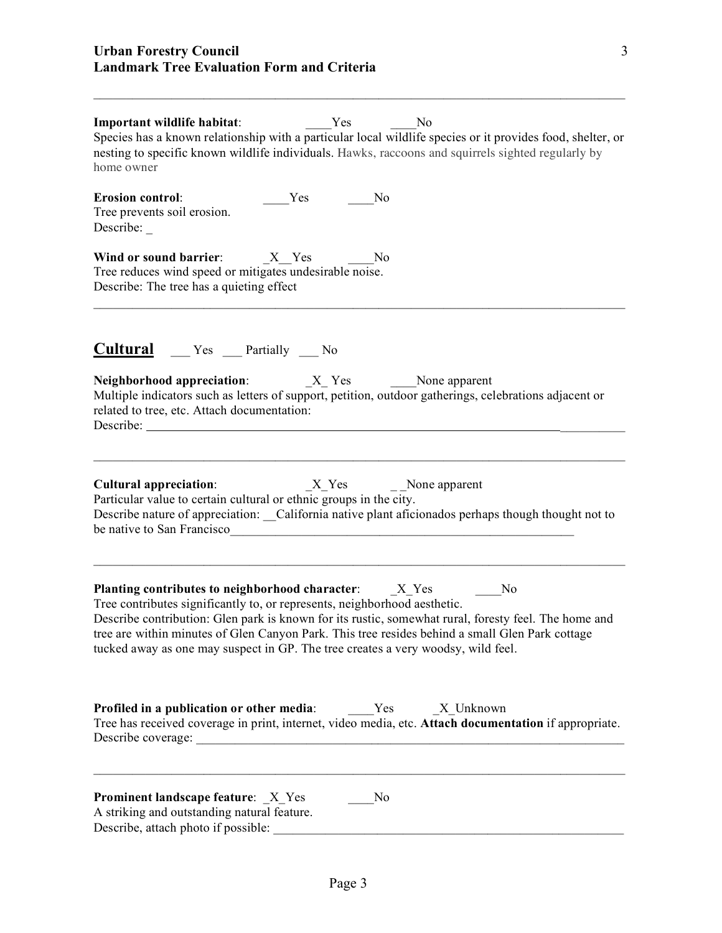| No Tres<br>Important wildlife habitat:<br>Species has a known relationship with a particular local wildlife species or it provides food, shelter, or<br>nesting to specific known wildlife individuals. Hawks, raccoons and squirrels sighted regularly by<br>home owner                                                                                                                                                                                           |  |  |  |
|--------------------------------------------------------------------------------------------------------------------------------------------------------------------------------------------------------------------------------------------------------------------------------------------------------------------------------------------------------------------------------------------------------------------------------------------------------------------|--|--|--|
| <b>Erosion control:</b><br>Yes<br>No<br>Tree prevents soil erosion.<br>Describe:                                                                                                                                                                                                                                                                                                                                                                                   |  |  |  |
| No<br>Tree reduces wind speed or mitigates undesirable noise.<br>Describe: The tree has a quieting effect                                                                                                                                                                                                                                                                                                                                                          |  |  |  |
| <b>Cultural</b> __ Yes __ Partially __ No                                                                                                                                                                                                                                                                                                                                                                                                                          |  |  |  |
| Multiple indicators such as letters of support, petition, outdoor gatherings, celebrations adjacent or<br>related to tree, etc. Attach documentation:<br>Describe:                                                                                                                                                                                                                                                                                                 |  |  |  |
| <b>Cultural appreciation:</b><br>Particular value to certain cultural or ethnic groups in the city.<br>Describe nature of appreciation: _California native plant aficionados perhaps though thought not to<br>be native to San Francisco                                                                                                                                                                                                                           |  |  |  |
| Planting contributes to neighborhood character: ________________________________<br>No<br>Tree contributes significantly to, or represents, neighborhood aesthetic.<br>Describe contribution: Glen park is known for its rustic, somewhat rural, foresty feel. The home and<br>tree are within minutes of Glen Canyon Park. This tree resides behind a small Glen Park cottage<br>tucked away as one may suspect in GP. The tree creates a very woodsy, wild feel. |  |  |  |
| Profiled in a publication or other media:<br>Yes<br>X Unknown<br>Tree has received coverage in print, internet, video media, etc. Attach documentation if appropriate.                                                                                                                                                                                                                                                                                             |  |  |  |
| <b>Prominent landscape feature:</b> X Yes<br>N <sub>0</sub><br>A striking and outstanding natural feature.<br>Describe, attach photo if possible:                                                                                                                                                                                                                                                                                                                  |  |  |  |